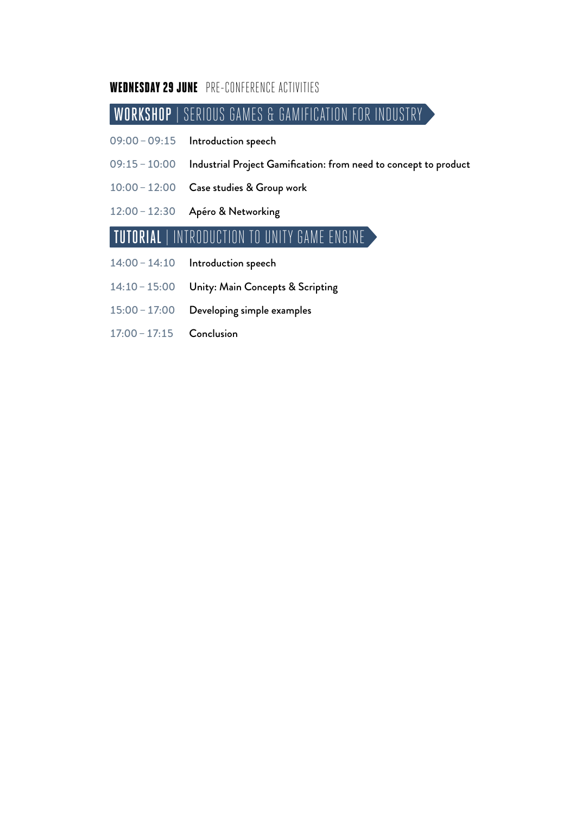#### WEDNESDAY 29 JUNE PRE-CONFERENCE ACTIVITIES

## WORKSHOP | SERIOUS GAMES & GAMIFICATION FOR INDUSTRY

- 09:00–09:15 Introduction speech
- 09:15–10:00 Industrial Project Gamification: from need to concept to product
- 10:00–12:00 Case studies & Group work
- 12:00–12:30 Apéro & Networking

### TUTORIAL | INTRODUCTION TO UNITY GAME ENGINE

- 14:00–14:10 Introduction speech
- 14:10–15:00 Unity: Main Concepts & Scripting
- 15:00–17:00 Developing simple examples
- 17:00–17:15 Conclusion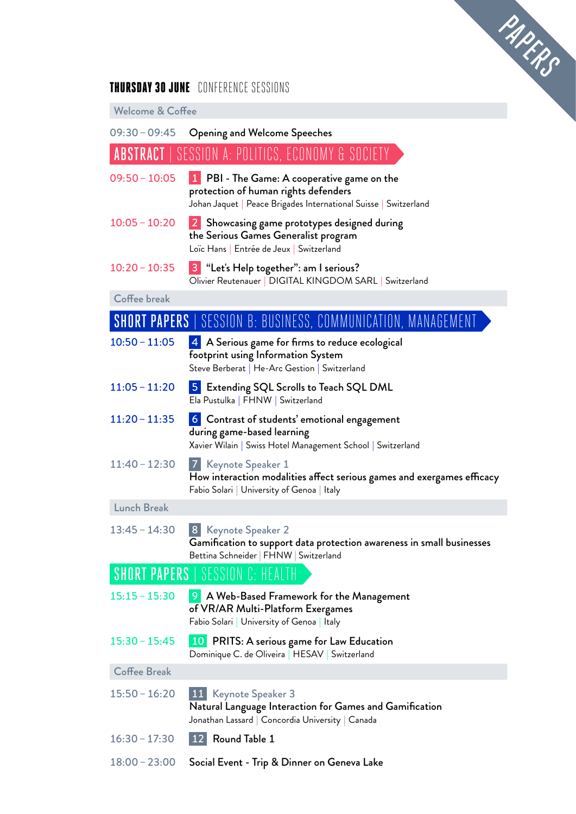

#### THURSDAY 30 JUNE CONFERENCE SESSIONS

Welcome & Coffee

| $09:30 - 09:45$     | <b>Opening and Welcome Speeches</b>                                                                                                                     |
|---------------------|---------------------------------------------------------------------------------------------------------------------------------------------------------|
|                     | <b>ABSTRACT</b>   SESSION A: POLITICS, ECONOMY & SOCIETY                                                                                                |
| $09:50 - 10:05$     | 1 PBI - The Game: A cooperative game on the<br>protection of human rights defenders<br>Johan Jaquet   Peace Brigades International Suisse   Switzerland |
| $10:05 - 10:20$     | 2 Showcasing game prototypes designed during<br>the Serious Games Generalist program<br>Loïc Hans   Entrée de Jeux   Switzerland                        |
| $10:20 - 10:35$     | 3 "Let's Help together": am I serious?<br>Olivier Reutenauer   DIGITAL KINGDOM SARL   Switzerland                                                       |
| Coffee break        |                                                                                                                                                         |
|                     | <b>SHORT PAPERS  </b> SESSION B: BUSINESS, COMMUNICATION, MANAGEMENT                                                                                    |
| $10:50 - 11:05$     | 4 A Serious game for firms to reduce ecological<br>footprint using Information System<br>Steve Berberat   He-Arc Gestion   Switzerland                  |
| $11:05 - 11:20$     | <b>5</b> Extending SQL Scrolls to Teach SQL DML<br>Ela Pustulka   FHNW   Switzerland                                                                    |
| $11:20 - 11:35$     | 6 Contrast of students' emotional engagement<br>during game-based learning<br>Xavier Wilain   Swiss Hotel Management School   Switzerland               |
| $11:40 - 12:30$     | 7 Keynote Speaker 1<br>How interaction modalities affect serious games and exergames efficacy<br>Fabio Solari   University of Genoa   Italy             |
| <b>Lunch Break</b>  |                                                                                                                                                         |
| $13:45 - 14:30$     | 8 Keynote Speaker 2<br>Gamification to support data protection awareness in small businesses<br>Bettina Schneider   FHNW   Switzerland                  |
|                     | <b>SHORT PAPERS   SESSION C: HEALTH</b>                                                                                                                 |
| $15:15 - 15:30$     | <b>9</b> A Web-Based Framework for the Management<br>of VR/AR Multi-Platform Exergames<br>Fabio Solari   University of Genoa   Italy                    |
| $15:30 - 15:45$     | 10 PRITS: A serious game for Law Education<br>Dominique C. de Oliveira   HESAV   Switzerland                                                            |
| <b>Coffee Break</b> |                                                                                                                                                         |
| $15:50 - 16:20$     | 11 <br>Keynote Speaker 3<br>Natural Language Interaction for Games and Gamification<br>Jonathan Lassard   Concordia University   Canada                 |
| $16:30 - 17:30$     | Round Table 1<br>  12                                                                                                                                   |
| $18:00 - 23:00$     | Social Event - Trip & Dinner on Geneva Lake                                                                                                             |